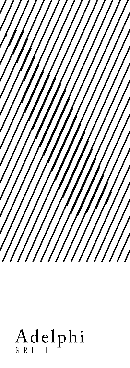

# Adelphi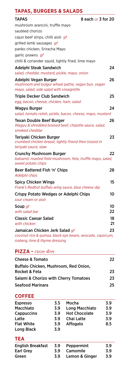# **TAPAS, BURGERS & SALADS**

| IMPAS, DURUERS & SALADS                                                                                                        |          |
|--------------------------------------------------------------------------------------------------------------------------------|----------|
| 8 each or 3 for 20<br><b>TAPAS</b>                                                                                             |          |
| mushroom arancini, truffle mayo                                                                                                |          |
| sautéed chorizo                                                                                                                |          |
| cajun beef strips, chilli aioli gf                                                                                             |          |
| grilled lamb sausages gf                                                                                                       |          |
| panko chicken, Sriracha Mayo                                                                                                   |          |
| garlic prawns gf                                                                                                               |          |
| chilli & coriander squid, lightly fried, lime mayo                                                                             |          |
| Adelphi Steak Sandwich                                                                                                         | 24       |
| salad, cheddar, mustard, pickle, mayo, onion                                                                                   |          |
| Adelphi Vegan Burger<br>mushroom and bulgur wheat pattie, vegan bun, vegan<br>mayo, salad, side salad with vinaigrette         | 26       |
| <b>Triple Decker Club Sandwich</b>                                                                                             | 25       |
| egg, bacon, cheese, chicken, ham, salad                                                                                        |          |
| Wagyu Burger                                                                                                                   | 24       |
| salad, tomato relish, pickle, bacon, cheese, mayo, mustard                                                                     |          |
| <b>Texan Double Beef Burger</b><br>Wagyu & shredded braised beef, chipotle sauce, salad,<br>smoked cheddar                     | 26       |
| Teriyaki Chicken Burger<br>crumbed chicken breast, lightly friend then tossed in<br>teriyaki sauce, slaw                       | 23       |
| <b>Crunchy Mushroom Burger</b><br>balsamic roasted field mushroom, feta, truffle mayo, salad,<br>sweet potato chips            | 22       |
| Beer Battered Fish 'n' Chips<br>Adelphi chips                                                                                  | 28       |
| <b>Spicy Chicken Wings</b><br>Frank's Redhot buffalo wing sauce, blue cheese dip                                               | 15       |
| Crispy Potato Wedges or Adelphi Chips<br>sour cream or aioli                                                                   | 10       |
| Soup <i>qf</i><br>with salad bar                                                                                               | 10<br>22 |
| <b>Classic Caesar Salad</b><br>with chicken                                                                                    | 18<br>21 |
| Jamaican Chicken Jerk Salad gf<br>coconut rice & quinoa, black eye beans, avocado, capsicum,<br>iceberg, lime & thyme dressing | 23       |

## **PIZZA -** *from 4pm*

| <b>Cheese &amp; Tomato</b>                       | 22 |
|--------------------------------------------------|----|
| Buffalo Chicken, Mushroom, Red Onion,            |    |
| Rocket & Feta                                    | 23 |
| <b>Salami &amp; Chorizo with Cherry Tomatoes</b> | 23 |
| Seafood Marinara                                 | 25 |
|                                                  |    |

# **COFFEE**

| <b>Espresso</b>   | 3.5 | Mocha                | 3.9 |
|-------------------|-----|----------------------|-----|
| <b>Macchiato</b>  | 3.9 | Long Macchiato       | 3.9 |
| Cappuccino        | 3.9 | <b>Hot Chocolate</b> | 3.9 |
| Latte             | 39  | Chai Latte           | 3.9 |
| <b>Flat White</b> | 3.9 | Affogato             | 8.5 |
| Long Black        | 3.9 |                      |     |

#### **TEA**

| <b>English Breakfast</b> |     | 3.9 Peppermint | 3.9 |
|--------------------------|-----|----------------|-----|
| Earl Grev                | 3.9 | Camomile       | 3.9 |
| Green                    | 3.9 | Lemon & Ginger | 3.9 |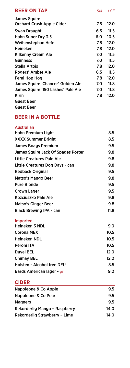| <b>BEER ON TAP</b>                 | SΜ  | LGE  |
|------------------------------------|-----|------|
| <b>James Squire</b>                |     |      |
| <b>Orchard Crush Apple Cider</b>   | 7.5 | 12.0 |
| Swan Draught                       | 6.5 | 11.5 |
| Hahn Super Dry 3.5                 | 6.0 | 10.5 |
| Weihenstephan Hefe                 | 7.8 | 12.0 |
| Heineken                           | 7.8 | 12.0 |
| Kilkenny Cream Ale                 | 7.0 | 11.5 |
| <b>Guinness</b>                    | 7.0 | 11.5 |
| Stella Artois                      | 7.8 | 12.0 |
| Rogers' Amber Ale                  | 6.5 | 11.5 |
| Feral Hop Hog                      | 7.8 | 12.0 |
| James Squire 'Chancer' Golden Ale  | 7.0 | 11.8 |
| James Squire '150 Lashes' Pale Ale | 7.0 | 11.8 |
| Kirin                              | 7.8 | 12.0 |
| <b>Guest Beer</b>                  |     |      |
| Guest Beer                         |     |      |

# **BEER IN A BOTTLE**

#### Australian

| <b>Hahn Premium Light</b>          | 8.5  |
|------------------------------------|------|
| <b>XXXX Summer Bright</b>          | 8.5  |
| <b>James Boags Premium</b>         | 9.5  |
| James Squire Jack Of Spades Porter | 9.8  |
| <b>Little Creatures Pale Ale</b>   | 9.8  |
| Little Creatures Dog Days - can    | 9.8  |
| <b>Redback Original</b>            | 9.5  |
| Matso's Mango Beer                 | 9.8  |
| <b>Pure Blonde</b>                 | 9.5  |
| Crown Lager                        | 9.5  |
| Kozciuszko Pale Ale                | 9.8  |
| <b>Matso's Ginger Beer</b>         | 9.8  |
| <b>Black Brewing IPA - can</b>     | 11.8 |
| <b>Imported</b>                    |      |
| <b>Heineken 3 NDL</b>              | 9.0  |
| <b>Corona MEX</b>                  | 10.5 |
| <b>Heineken NDL</b>                | 10.5 |
| Peroni ITA                         | 10.5 |
| <b>Duvel BEL</b>                   | 12.0 |
| <b>Chimay BEL</b>                  | 12.0 |
| Holsten - Alcohol free DEU         | 8.5  |
| Bards American lager - gf          | 9.0  |

## **CIDER**

| Napoleone & Co Apple          | 9.5  |
|-------------------------------|------|
| Napoleone & Co Pear           | 9.5  |
| <b>Magners</b>                | 9.5  |
| Rekorderlig Mango - Raspberry | 14.0 |
| Rekorderlig Strawberry - Lime | 14.0 |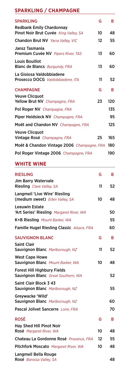# **SPARKLING / CHAMPAGNE**

| G                                          | B   |
|--------------------------------------------|-----|
|                                            |     |
| 10                                         | 48  |
| 12                                         | 55  |
|                                            |     |
| 13                                         | 60  |
|                                            |     |
| 13                                         | 60  |
|                                            |     |
|                                            | 52  |
| G                                          | R   |
|                                            |     |
| 23                                         | 120 |
|                                            | 135 |
|                                            | 95  |
|                                            | 125 |
|                                            |     |
| 25                                         | 165 |
| Moët & Chandon Vintage 2006 Champagne, FRA | 180 |
|                                            | 190 |
|                                            | 11  |

# **WHITE WINE**

| <b>RIESLING</b>                                                                 | G  | В  |
|---------------------------------------------------------------------------------|----|----|
| Jim Barry Watervale                                                             |    |    |
| Riesling Clare Valley, SA                                                       | 11 | 52 |
| Langmeil 'Live Wire' Riesling<br>(medium sweet) Eden Valley, SA                 | 10 | 48 |
| <b>Leeuwin Estate</b><br>'Art Series' Riesling Margaret River, WA               |    | 50 |
| K+B Riesling Mount Barker, WA                                                   |    | 55 |
| Famille Hugel Riesling Classic Alsace, FRA                                      |    | 60 |
| <b>SAUVIGNON BLANC</b>                                                          | G  | в  |
| <b>Saint Clair</b><br>Sauvignon Blanc Marlborough, NZ                           | 11 | 52 |
| <b>West Cape Howe</b><br>Sauvignon Blanc Mount Barker, WA                       | 10 | 48 |
| <b>Forest Hill Highbury Fields</b><br><b>Sauvignon Blanc</b> Great Southern, WA |    | 52 |
| Saint Clair Block 3 43<br>Sauvignon Blanc Marlborough, NZ                       |    | 55 |
| Greywacke 'Wild'<br>Sauvignon Blanc Marlborough, NZ                             |    | 60 |
| Pascal Jolivet Sancerre Loire, FRA                                              |    | 70 |
| <b>ROSÉ</b>                                                                     | G  | в  |
| <b>Hay Shed Hill Pinot Noir</b><br>Rosé Margaret River, WA                      | 10 | 48 |
| Chateau La Gordonne Rosé Provence, FRA                                          | 12 | 55 |
| Pitchfork Moscato Margaret River, WA                                            | 10 | 48 |
| Langmeil Bella Rouge<br>Rosé Barossa Valley, SA                                 |    | 48 |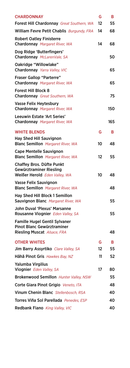| <b>CHARDONNAY</b>                                                                                 | G                 | B       |
|---------------------------------------------------------------------------------------------------|-------------------|---------|
| Forest Hill Chardonnay Great Southern, WA                                                         | $12 \overline{ }$ | 55      |
| William Fevre Petit Chablis Burgundy, FRA                                                         | 14                | 68      |
| <b>Robert Oatley Finisterre</b><br>Chardonnay Margaret River, WA                                  | 14                | 68      |
| Dog Ridge 'Butterfingers'<br>Chardonnay McLarenVale, SA                                           |                   | 50      |
| Oakridge "Willowlake"<br>Chardonnay Yarra Valley, VIC                                             |                   | 65      |
| <b>Fraser Gallop "Parterre"</b><br>Chardonnay Margaret River, WA                                  |                   | 65      |
| <b>Forest Hill Block 8</b><br>Chardonnay Great Southern, WA                                       |                   | 75      |
| <b>Vasse Felix Heytesbury</b><br>Chardonnay Margaret River, WA                                    |                   | 150     |
| Leeuwin Estate 'Art Series'<br>Chardonnay Margaret River, WA                                      |                   | 165     |
| <b>WHITE BLENDS</b>                                                                               | G                 | в       |
| <b>Hay Shed Hill Sauvignon</b><br><b>Blanc Semillon</b> Margaret River, WA                        | 10                | 48      |
| <b>Cape Mentelle Sauvignon</b><br><b>Blanc Semillon</b> Margaret River, WA                        | 12                | 55      |
| <b>Chaffey Bros. Düfte Punkt</b><br>Gewürztraminer Riesling<br>Weißer Herold Eden Valley, WA      | 10                | 48      |
| Vasse Felix Sauvignon<br><b>Blanc Semillon</b> Margaret River, WA                                 |                   | 48      |
| Hay Shed Hill Block 1 Semillon<br>Sauvignon Blanc Margaret River, WA                              |                   | 55      |
| John Duval 'Plexus' Marsanne<br>Rousanne Viognier Eden Valley, SA                                 |                   | 55      |
| <b>Famille Hugel Gentil Sylvaner</b><br>Pinot Blanc Gewürztraminer<br>Riesling Muscat Alsace, FRA |                   | 48      |
|                                                                                                   |                   |         |
| <b>OTHER WHITES</b><br>Jim Barry Assyrtiko Clare Valley, SA                                       | G<br>12           | в<br>55 |
| Hãhã Pinot Gris Hawkes Bay, NZ                                                                    | 11                | 52      |
| Yalumba Virgilius<br>Viognier Eden Valley, SA                                                     | 17                | 80      |
| <b>Brokenwood Semillon</b> Hunter Valley, NSW                                                     |                   | 55      |
| Corte Giara Pinot Grigio Veneto, ITA                                                              |                   | 48      |
| Vinum Chenin Blanc Stellenbosch, RSA                                                              |                   | 40      |
| Torres Viña Sol Parellada Penedes, ESP                                                            |                   | 40      |
| Redbank Fiano King Valley, VIC                                                                    |                   | 40      |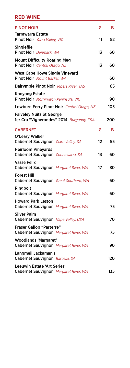## **RED WINE**

| <b>PINOT NOIR</b>                                                           | G  | B   |
|-----------------------------------------------------------------------------|----|-----|
| Tarrawarra Estate<br>Pinot Noir Yarra Valley, VIC                           | 11 | 52  |
| Singlefile<br>Pinot Noir Denmark, WA                                        | 13 | 60  |
| <b>Mount Difficulty Roaring Meg</b>                                         |    |     |
| Pinot Noir Central Otago, NZ                                                | 13 | 60  |
| West Cape Howe Single Vineyard<br>Pinot Noir Mount Barker, WA               |    | 60  |
| Dalrymple Pinot Noir Pipers River, TAS                                      |    | 65  |
| <b>Kooyong Estate</b><br>Pinot Noir Mornington Peninsula, VIC               |    | 90  |
| Lowburn Ferry Pinot Noir Central Otago, NZ                                  |    | 105 |
| <b>Faiveley Nuits St George</b><br>1er Cru "Vignerondes" 2014 Burgundy, FRA |    | 200 |
| <b>CABERNET</b>                                                             | G  | в   |
| O'Leary Walker<br>Cabernet Sauvignon Clare Valley, SA                       | 12 | 55  |
| <b>Heirloom Vinevards</b><br>Cabernet Sauvignon Coonawarra, SA              | 13 | 60  |
| <b>Vasse Felix</b><br>Cabernet Sauvignon Margaret River, WA                 | 17 | 80  |
| <b>Forest Hill</b><br>Cabernet Sauvignon Great Southern, WA                 |    | 60  |
| Ringbolt<br>Cabernet Sauvignon Margaret River, WA                           |    | 60  |
| Howard Park Leston<br>Cabernet Sauvignon Margaret River, WA                 |    | 75  |
| <b>Silver Palm</b><br>Cabernet Sauvignon Napa Valley, USA                   |    | 70  |
| <b>Fraser Gallop "Parterre"</b><br>Cabernet Sauvignon Margaret River, WA    |    | 75  |
| <b>Woodlands 'Margaret'</b><br>Cabernet Sauvignon Margaret River, WA        |    | 90  |
| Langmeil Jackaman's<br>Cabernet Sauvignon Barossa, SA                       |    | 120 |
| Leeuwin Estate 'Art Series'<br>Cabernet Sauvignon Margaret River, WA        |    | 135 |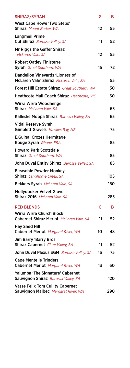| SHIRAZ/SYRAH                                                                    | G       | в   |
|---------------------------------------------------------------------------------|---------|-----|
| <b>West Cape Howe 'Two Steps'</b><br>Shiraz Mount Barker, WA                    | 12      | 55  |
| <b>Langmeil Prime</b><br>Cut Shiraz Barossa Valley, SA                          | 11      | 52  |
| Mr Riggs the Gaffer Shiraz<br>McLaren Vale, SA                                  | $12 \,$ | 55  |
| <b>Robert Oatley Finisterre</b><br>Syrah Great Southern, WA                     | 15      | 72  |
| <b>Dandelion Vineyards 'Lioness of</b><br>McLaren Vale' Shiraz McLaren Vale, SA |         | 55  |
| Forest Hill Estate Shiraz Great Southern, WA                                    |         | 50  |
| Heathcote Mail Coach Shiraz Heathcote, VIC                                      |         | 60  |
| Wirra Wirra Woodhenge<br>Shiraz McLaren Vale, SA                                |         | 65  |
| Kalleske Moppa Shiraz Barossa Valley, SA                                        |         | 65  |
| <b>Vidal Reserve Syrah</b><br>Gimblett Gravels Hawkes Bay, NZ                   |         | 75  |
| <b>E.Guigal Crozes Hermitage</b><br>Rouge Syrah Rhone, FRA                      |         | 85  |
| <b>Howard Park Scotsdale</b><br>Shiraz Great Southern, WA                       |         | 85  |
| John Duval Entity Shiraz Barossa Valley, SA                                     |         | 85  |
| <b>Bleasdale Powder Monkey</b><br>Shiraz Langhorne Creek, SA                    |         | 105 |
| <b>Bekkers Syrah</b> McLaren Vale, SA                                           |         | 180 |
| Mollydooker Velvet Glove<br>Shiraz 2016 McLaren Vale. SA                        |         | 285 |
| <b>RED BLENDS</b>                                                               | G       | в   |
| Wirra Wirra Church Block<br>Cabernet Shiraz Merlot McLaren Vale, SA             | 11      | 52  |
| <b>Hay Shed Hill</b><br>Cabernet Merlot Margaret River, WA                      | 10      | 48  |
| Jim Barry 'Barry Bros'<br>Shiraz Cabernet Clare Valley, SA                      | 11      | 52  |
| John Duval Plexus SGM Barossa Valley, SA                                        | 16      | 75  |
| <b>Cape Mentelle Trinders</b><br>Cabernet Merlot Margaret River, WA             | 13      | 60  |
| <b>Yalumba 'The Signature' Cabernet</b><br>Sauvignon Shiraz Barossa Valley, SA  |         | 120 |
| <b>Vasse Felix Tom Cullity Cabernet</b><br>Sauvignon Malbec Margaret River, WA  |         | 290 |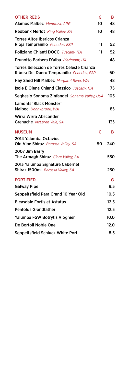| <b>OTHER REDS</b>                                                                       | G  | в    |
|-----------------------------------------------------------------------------------------|----|------|
| Alamos Malbec Mendoza, ARG                                                              | 10 | 48   |
| <b>Redbank Merlot</b> King Valley, SA                                                   | 10 | 48   |
| <b>Torres Altos Ibericos Crianza</b><br>Rioja Tempranillo Penedes, ESP                  | 11 | 52   |
| Poliziano Chianti DOCG Tuscanv. ITA                                                     | 11 | 52   |
| Prunotto Barbera D'alba Piedmont, ITA                                                   |    | 48   |
| Torres Seleccion de Torres Celeste Crianza<br>Ribera Del Duero Tempranillo Penedes, ESP |    | 60   |
| Hay Shed Hill Malbec Margaret River, WA                                                 |    | 48   |
| Isole E Olena Chianti Classico Tuscany, ITA                                             |    | 75   |
| Seghesio Sonoma Zinfandel Sonama Valley, USA                                            |    | 105  |
| Lamonts 'Black Monster'<br>Malbec Donnybrook, WA                                        |    | 85   |
| Wirra Wirra Absconder<br>Grenache McLaren Vale, SA                                      |    | 135  |
| <b>MUSEUM</b>                                                                           | G  | В    |
| 2014 Yalumba Octavius<br>Old Vine Shiraz Barossa Valley, SA                             | 50 | 240  |
| 2007 Jim Barry<br>The Armagh Shiraz Clare Valley, SA                                    |    | 550  |
| 2013 Yalumba Signature Cabernet<br>Shiraz 1500ml Barossa Valley, SA                     |    | 250  |
| <b>FORTIFIED</b>                                                                        |    | G    |
| <b>Galway Pipe</b>                                                                      |    | 9.5  |
| Seppeltsfield Para Grand 10 Year Old                                                    |    | 10.5 |
| <b>Bleasdale Fortis et Astutus</b>                                                      |    | 12.5 |
| <b>Penfolds Grandfather</b>                                                             |    | 12.5 |
| Yalumba FSW Botrytis Viognier                                                           |    | 10.0 |
| De Bortoli Noble One                                                                    |    | 12.0 |
| Seppeltsfield Schluck White Port                                                        |    | 8.5  |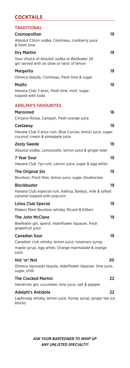# **COCKTAILS**

| <b>TRADITIONAL</b>                                                                          |    |
|---------------------------------------------------------------------------------------------|----|
| Cosmopolitan                                                                                | 19 |
| Absolut Citron vodka, Cointreau, cranberry juice<br>& fresh lime                            |    |
| <b>Dry Martini</b>                                                                          | 19 |
| Your choice of Absolut vodka or Beefeater 24<br>gin served with an olive or twist of lemon  |    |
| <b>Margarita</b>                                                                            | 19 |
| Olmeca tequila, Cointreau, fresh lime & sugar                                               |    |
| Mojito                                                                                      | 19 |
| Havana Club 3 anos, fresh lime, mint, sugar,<br>topped with soda                            |    |
| <b>ADELPHI'S FAVOURITES</b>                                                                 |    |
| Marooned                                                                                    | 16 |
| Cinzano Rossa, Campari, fresh orange juice                                                  |    |
| Castaway                                                                                    | 19 |
| Havana Club 3 anos rum, Blue Curcao, lemon juice, sugar,<br>coconut cream & pineapple juice |    |
| <b>Zesty Swede</b>                                                                          | 19 |
| Absolut vodka, Lemoncello, lemon juice & ginger beer                                        |    |
| 7 Year Sour                                                                                 | 19 |
| Havana Club 7yo rum, Lemon juice, sugar & egg white                                         |    |
| The Original Sin                                                                            | 19 |
| Bourbon, Pinot Noir, lemon juice, sugar, blueberries                                        |    |
| <b>Blockbuster</b>                                                                          | 19 |
| Havana Club especial rum, Kahlua, Baileys, milk & salted<br>caramel topped with popcorn     |    |

# Lotus Club Special 19 Makers Mark Bourbon whisky, Ricard & bitters The John McClane 19 Beefeater gin, aperol, elderflower liqueuer, fresh grapefruit juice Canadian Sour 19

Canadian club whisky, lemon juice, rosemary syrup, maple syrup, egg white, Orange marmalade & orange juice Hot 'or' Not 20

# Olmeca reposado tequila, elderflower liqueuer, lime juice, sugar, chilli The Cracked Martini 22

Hendricks gin, cucumber, lime juice, salt & pepper

#### Adelphi's Antidote 22

Laphroaig whisky, lemon juice, honey syrup, ginger tea ice blocks

> *ASK YOUR BARTEDNER TO WHIP UP ANY UNLISTED SPECIALTY!*